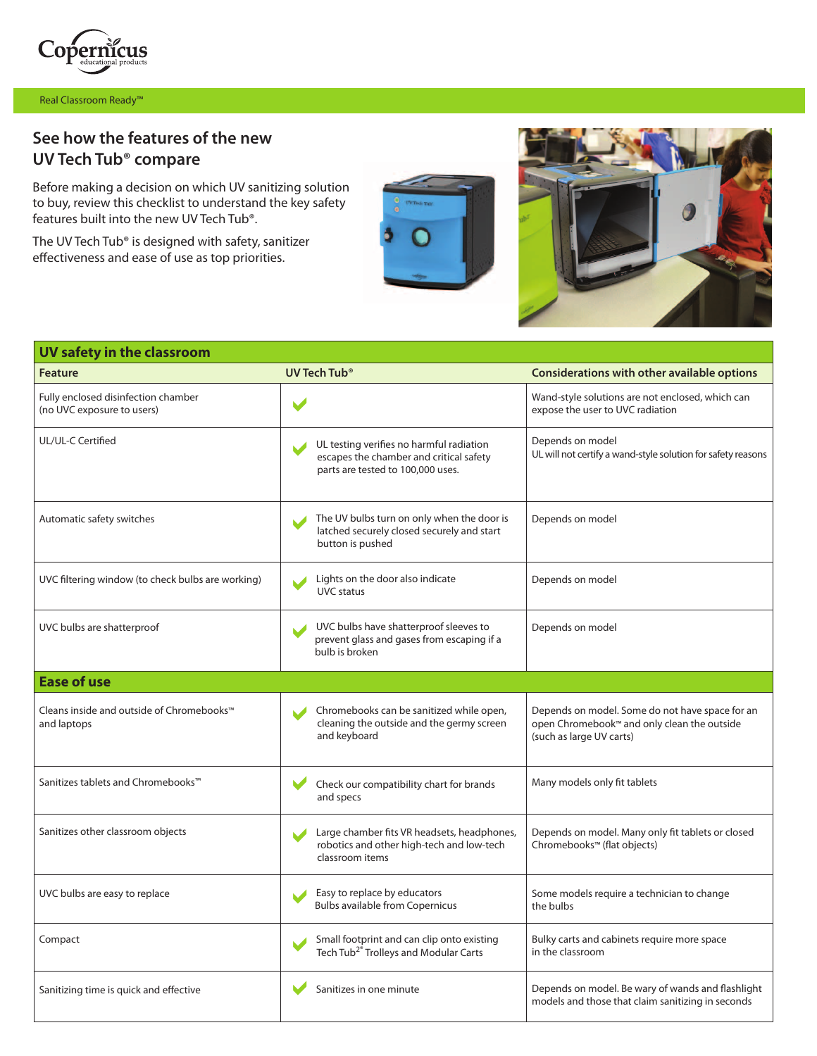

Real Classroom Ready™

## **See how the features of the new UV Tech Tub® compare**

Before making a decision on which UV sanitizing solution to buy, review this checklist to understand the key safety features built into the new UV Tech Tub®.

The UV Tech Tub® is designed with safety, sanitizer effectiveness and ease of use as top priorities.





| UV safety in the classroom                                           |                                                                                                                          |                                                                                                                            |  |
|----------------------------------------------------------------------|--------------------------------------------------------------------------------------------------------------------------|----------------------------------------------------------------------------------------------------------------------------|--|
| <b>Feature</b>                                                       | UV Tech Tub <sup>®</sup>                                                                                                 | Considerations with other available options                                                                                |  |
| Fully enclosed disinfection chamber<br>(no UVC exposure to users)    | $\blacktriangleright$                                                                                                    | Wand-style solutions are not enclosed, which can<br>expose the user to UVC radiation                                       |  |
| UL/UL-C Certified                                                    | UL testing verifies no harmful radiation<br>escapes the chamber and critical safety<br>parts are tested to 100,000 uses. | Depends on model<br>UL will not certify a wand-style solution for safety reasons                                           |  |
| Automatic safety switches                                            | The UV bulbs turn on only when the door is<br>latched securely closed securely and start<br>button is pushed             | Depends on model                                                                                                           |  |
| UVC filtering window (to check bulbs are working)                    | Lights on the door also indicate<br><b>UVC</b> status                                                                    | Depends on model                                                                                                           |  |
| UVC bulbs are shatterproof                                           | UVC bulbs have shatterproof sleeves to<br>prevent glass and gases from escaping if a<br>bulb is broken                   | Depends on model                                                                                                           |  |
| <b>Ease of use</b>                                                   |                                                                                                                          |                                                                                                                            |  |
| Cleans inside and outside of Chromebooks <sup>™</sup><br>and laptops | Chromebooks can be sanitized while open,<br>cleaning the outside and the germy screen<br>and keyboard                    | Depends on model. Some do not have space for an<br>open Chromebook™ and only clean the outside<br>(such as large UV carts) |  |
| Sanitizes tablets and Chromebooks <sup>™</sup>                       | Check our compatibility chart for brands<br>and specs                                                                    | Many models only fit tablets                                                                                               |  |
| Sanitizes other classroom objects                                    | Large chamber fits VR headsets, headphones,<br>robotics and other high-tech and low-tech<br>classroom items              | Depends on model. Many only fit tablets or closed<br>Chromebooks™ (flat objects)                                           |  |
| UVC bulbs are easy to replace                                        | Easy to replace by educators<br><b>Bulbs available from Copernicus</b>                                                   | Some models require a technician to change<br>the bulbs                                                                    |  |
| Compact                                                              | Small footprint and can clip onto existing<br>Tech Tub <sup>2®</sup> Trolleys and Modular Carts                          | Bulky carts and cabinets require more space<br>in the classroom                                                            |  |
| Sanitizing time is quick and effective                               | Sanitizes in one minute                                                                                                  | Depends on model. Be wary of wands and flashlight<br>models and those that claim sanitizing in seconds                     |  |